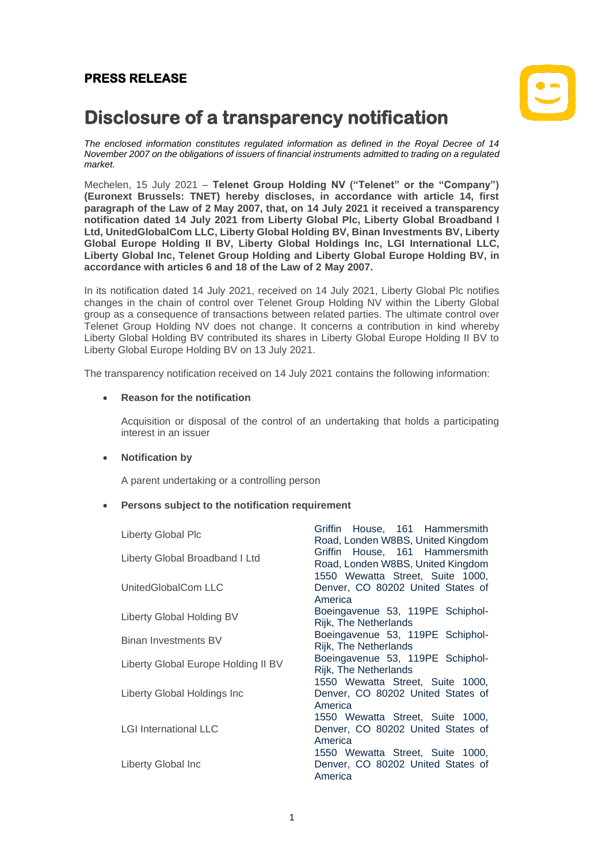## **PRESS RELEASE**



# **Disclosure of a transparency notification**

*The enclosed information constitutes regulated information as defined in the Royal Decree of 14 November 2007 on the obligations of issuers of financial instruments admitted to trading on a regulated market.*

Mechelen, 15 July 2021 – **Telenet Group Holding NV ("Telenet" or the "Company") (Euronext Brussels: TNET) hereby discloses, in accordance with article 14, first paragraph of the Law of 2 May 2007, that, on 14 July 2021 it received a transparency notification dated 14 July 2021 from Liberty Global Plc, Liberty Global Broadband I Ltd, UnitedGlobalCom LLC, Liberty Global Holding BV, Binan Investments BV, Liberty Global Europe Holding II BV, Liberty Global Holdings Inc, LGI International LLC, Liberty Global Inc, Telenet Group Holding and Liberty Global Europe Holding BV, in accordance with articles 6 and 18 of the Law of 2 May 2007.**

In its notification dated 14 July 2021, received on 14 July 2021, Liberty Global Plc notifies changes in the chain of control over Telenet Group Holding NV within the Liberty Global group as a consequence of transactions between related parties. The ultimate control over Telenet Group Holding NV does not change. It concerns a contribution in kind whereby Liberty Global Holding BV contributed its shares in Liberty Global Europe Holding II BV to Liberty Global Europe Holding BV on 13 July 2021.

The transparency notification received on 14 July 2021 contains the following information:

### • **Reason for the notification**

Acquisition or disposal of the control of an undertaking that holds a participating interest in an issuer

#### • **Notification by**

A parent undertaking or a controlling person

#### • **Persons subject to the notification requirement**

| <b>Liberty Global Plc</b>           | Griffin House, 161 Hammersmith<br>Road, Londen W8BS, United Kingdom              |
|-------------------------------------|----------------------------------------------------------------------------------|
| Liberty Global Broadband I Ltd      | Griffin House, 161 Hammersmith<br>Road, Londen W8BS, United Kingdom              |
| UnitedGlobalCom LLC                 | 1550 Wewatta Street, Suite 1000,<br>Denver, CO 80202 United States of<br>America |
| Liberty Global Holding BV           | Boeingavenue 53, 119PE Schiphol-<br><b>Rijk, The Netherlands</b>                 |
| Binan Investments BV                | Boeingavenue 53, 119PE Schiphol-<br><b>Rijk, The Netherlands</b>                 |
| Liberty Global Europe Holding II BV | Boeingavenue 53, 119PE Schiphol-<br><b>Rijk, The Netherlands</b>                 |
| Liberty Global Holdings Inc         | 1550 Wewatta Street, Suite 1000,<br>Denver, CO 80202 United States of<br>America |
| <b>LGI International LLC</b>        | 1550 Wewatta Street, Suite 1000,<br>Denver, CO 80202 United States of<br>America |
| Liberty Global Inc                  | 1550 Wewatta Street, Suite 1000,<br>Denver, CO 80202 United States of<br>America |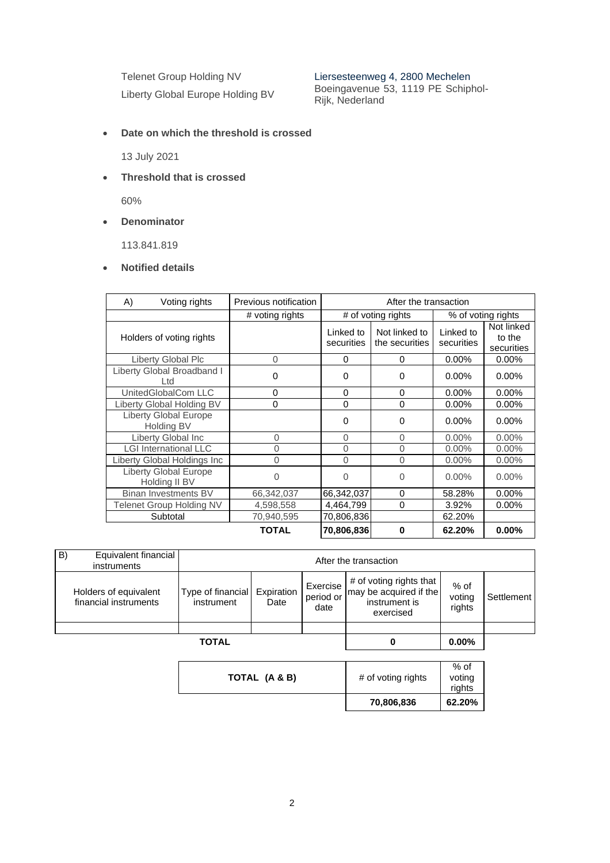Telenet Group Holding NV Liersesteenweg 4, 2800 Mechelen

Liberty Global Europe Holding BV Boeingavenue 53, 1119 PE Schiphol-Rijk, Nederland

• **Date on which the threshold is crossed**

13 July 2021

• **Threshold that is crossed**

60%

• **Denominator**

113.841.819

• **Notified details**

| A)       | Voting rights                                 | Previous notification | After the transaction   |                                 |                         |                                    |
|----------|-----------------------------------------------|-----------------------|-------------------------|---------------------------------|-------------------------|------------------------------------|
|          |                                               | # voting rights       | # of voting rights      |                                 | % of voting rights      |                                    |
|          | Holders of voting rights                      |                       | Linked to<br>securities | Not linked to<br>the securities | Linked to<br>securities | Not linked<br>to the<br>securities |
|          | Liberty Global Plc                            | 0                     | 0                       | 0                               | $0.00\%$                | $0.00\%$                           |
|          | Liberty Global Broadband I<br>Ltd             | 0                     | $\Omega$                | $\Omega$                        | $0.00\%$                | $0.00\%$                           |
|          | UnitedGlobalCom LLC                           | 0                     | $\Omega$                | $\Omega$                        | $0.00\%$                | $0.00\%$                           |
|          | Liberty Global Holding BV                     | 0                     | $\Omega$                | $\Omega$                        | $0.00\%$                | $0.00\%$                           |
|          | <b>Liberty Global Europe</b><br>Holding BV    |                       | $\Omega$                | 0                               | $0.00\%$                | $0.00\%$                           |
|          | Liberty Global Inc                            | $\Omega$              | 0                       | $\Omega$                        | $0.00\%$                | $0.00\%$                           |
|          | <b>LGI International LLC</b>                  | 0                     | $\Omega$                | 0                               | $0.00\%$                | $0.00\%$                           |
|          | Liberty Global Holdings Inc                   | 0                     | $\Omega$                | 0                               | $0.00\%$                | $0.00\%$                           |
|          | <b>Liberty Global Europe</b><br>Holding II BV | O                     | $\Omega$                | 0                               | $0.00\%$                | $0.00\%$                           |
|          | <b>Binan Investments BV</b>                   | 66,342,037            | 66,342,037              | $\Omega$                        | 58.28%                  | $0.00\%$                           |
|          | Telenet Group Holding NV                      | 4,598,558             | 4,464,799               | $\Omega$                        | 3.92%                   | $0.00\%$                           |
| Subtotal |                                               | 70,940,595            | 70,806,836              |                                 | 62.20%                  |                                    |
|          |                                               | <b>TOTAL</b>          | 70,806,836              | $\bf{0}$                        | 62.20%                  | $0.00\%$                           |

| B)<br>Equivalent financial<br>instruments      | After the transaction           |                    |                               |                                                                                 |                          |            |
|------------------------------------------------|---------------------------------|--------------------|-------------------------------|---------------------------------------------------------------------------------|--------------------------|------------|
| Holders of equivalent<br>financial instruments | Type of financial<br>instrument | Expiration<br>Date | Exercise<br>period or<br>date | # of voting rights that<br>may be acquired if the<br>instrument is<br>exercised | % of<br>voting<br>rights | Settlement |
|                                                |                                 |                    |                               |                                                                                 |                          |            |
|                                                | <b>TOTAL</b>                    |                    |                               | 0                                                                               | $0.00\%$                 |            |

|               | 70,806,836         | rights<br>62.20% |
|---------------|--------------------|------------------|
| TOTAL (A & B) | # of voting rights | $%$ of<br>voting |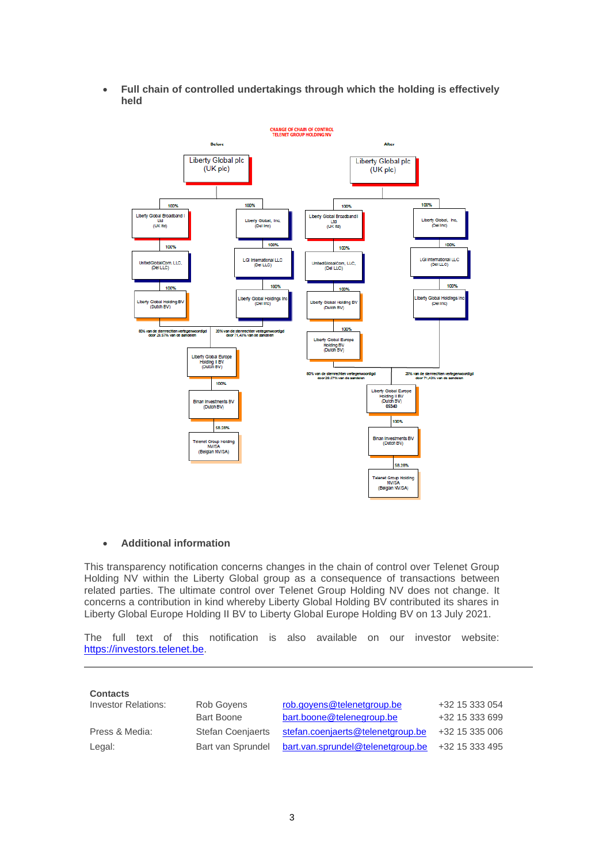• **Full chain of controlled undertakings through which the holding is effectively held**



#### • **Additional information**

This transparency notification concerns changes in the chain of control over Telenet Group Holding NV within the Liberty Global group as a consequence of transactions between related parties. The ultimate control over Telenet Group Holding NV does not change. It concerns a contribution in kind whereby Liberty Global Holding BV contributed its shares in Liberty Global Europe Holding II BV to Liberty Global Europe Holding BV on 13 July 2021.

The full text of this notification is also available on our investor website: [https://investors.telenet.be.](https://investors.telenet.be/)

| <b>Contacts</b>            |                          |                                   |                |
|----------------------------|--------------------------|-----------------------------------|----------------|
| <b>Investor Relations:</b> | Rob Govens               | rob.goyens@telenetgroup.be        | +32 15 333 054 |
|                            | <b>Bart Boone</b>        | bart.boone@telenegroup.be         | +32 15 333 699 |
| Press & Media:             | <b>Stefan Coenjaerts</b> | stefan.coenjaerts@telenetgroup.be | +32 15 335 006 |
| Legal:                     | Bart van Sprundel        | bart.van.sprundel@telenetgroup.be | +32 15 333 495 |